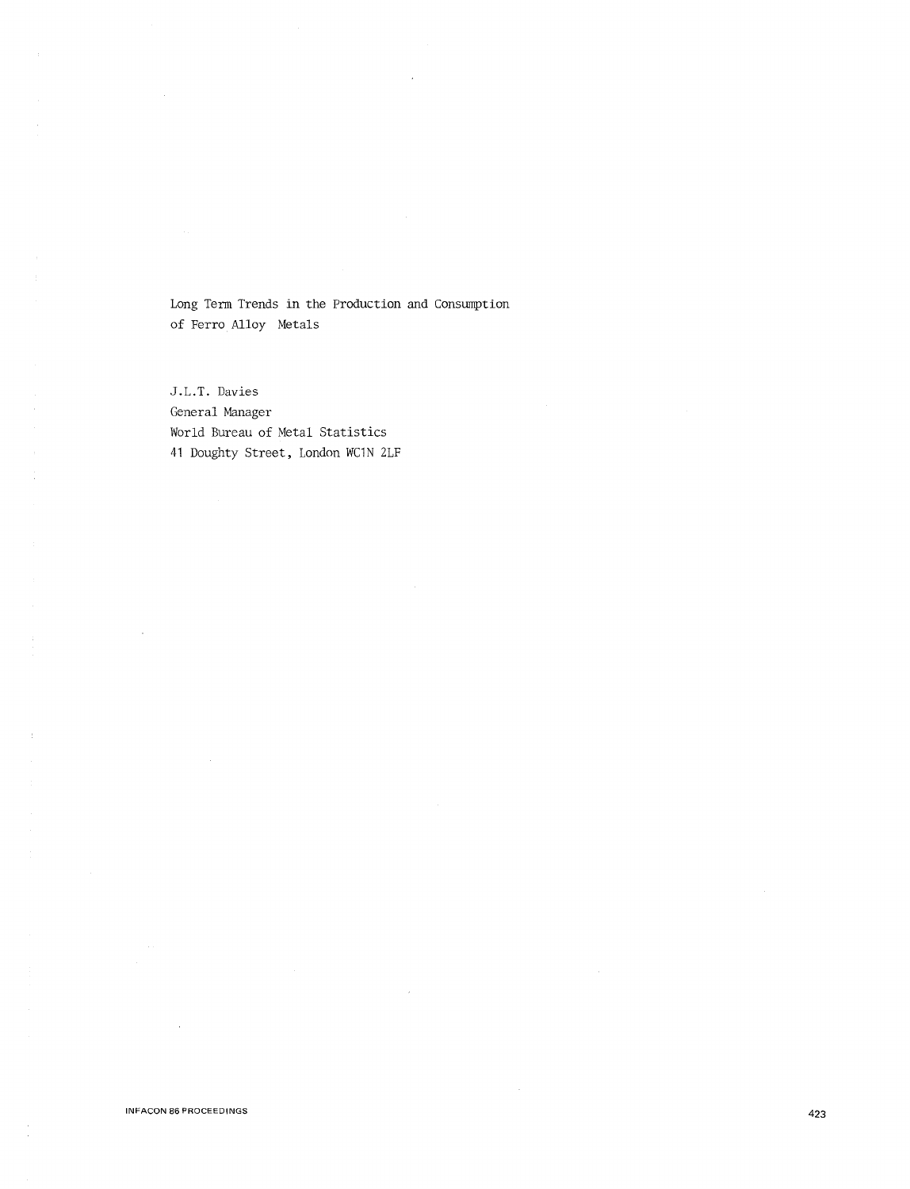Long Term Trends in the Production and Consumption of Ferro Alloy Metals

J.L.T. Davies General Manager World Bureau of Metal Statistics 41 Doughty Street, London WC1N 2LF

 $\bar{z}$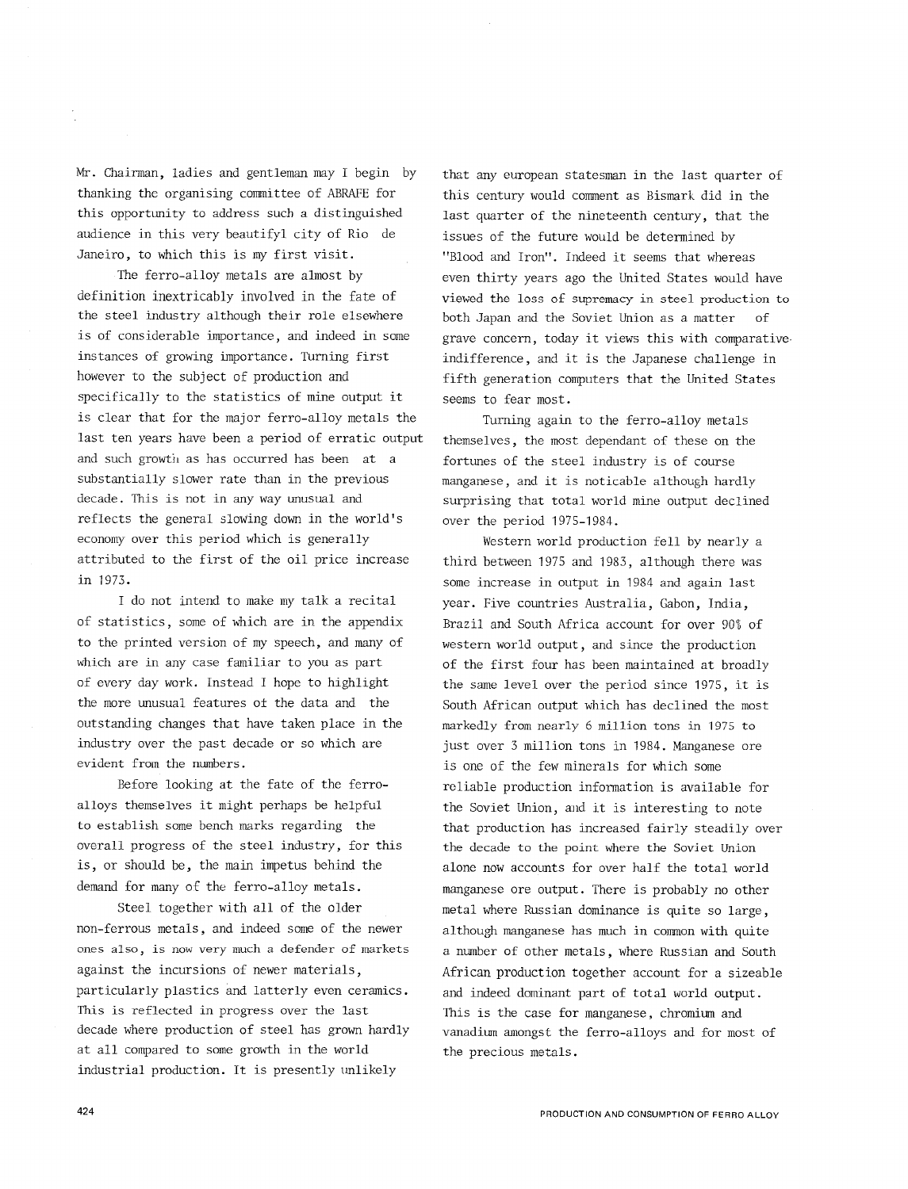Mr. Chairman, ladies and gentleman may I begin by thanking the organising committee of ABRAFE for this opportunity to address such a distinguished audience in this very beautifyl city of Rio de Janeiro, to which this is my first visit.

The ferro-alloy metals are almost by definition inextricably involved in the fate of the steel industry although their role elsewhere is of considerable importance, and indeed in some instances of growing importance. Turning first however to the subject of production and specifically to the statistics of mine output it is clear that for the major ferro-alloy metals the last ten years have been a period of erratic output and such growth as has occurred has been at a substantially slower rate than in the previous decade. This is not in any way unusual and reflects the general slowing down in the world's economy over this period which is generally attributed to the first of the oil price increase in 1973.

I do not intend to make my talk a recital of statistics, some of which are in the appendix to the printed version of my speech, and many of which are in any case familiar to you as part of every day work. Instead I hope to highlight the more unusual features of the data and the outstanding changes that have taken place in the industry over the past decade or so which are evident from the numbers.

Before looking at the fate of the ferroalloys themselves it might perhaps be helpful to establish some bench marks regarding the overall progress of the steel industry, for this is, or should be, the main impetus behind the demand for many of the ferro-alloy metals.

Steel together with all of the older non-ferrous metals, and indeed some of the newer ones also, is now very much a defender of markets against the incursions of newer materials, particularly plastics and latterly even ceramics. This is reflected in progress over the last decade where production of steel has grown hardly at all compared to some growth in the world industrial production. It is presently unlikely

that any european statesman in the last quarter of this century would comment as Bismark did in the last quarter of the nineteenth century, that the issues of the future would be determined by "Blood and Iron". Indeed it seems that whereas even thirty years ago the United States would have viewed the loss of supremacy in steel production to both Japan and the Soviet Union as a matter grave concern, today it views this with comparative. indifference, and it is the Japanese challenge in fifth generation computers that the United States seems to fear most.

Turning again to the ferro-alloy metals themselves, the most dependant of these on the fortunes of the steel industry is of course manganese, and it is noticable although hardly surprising that total world mine output declined over the period 1975-1984.

Western world production fell by nearly a third between 1975 and 1983, although there was some increase in output in 1984 and again last year. Five countries Australia, Gabon, India, Brazil and South Africa account for over 90% of western world output, and since the production of the first four has been maintained at broadly the same level over the period since 1975, it is South African output which has declined the most markedly from nearly 6 million tons in 1975 to just over 3 million tons in 1984. Manganese ore is one of the few minerals for which some reliable production information is available for the Soviet Union, and it is interesting to note that production has increased fairly steadily over the decade to the point where the Sovjet Union alone now accounts for over half the total world manganese ore output. There is probably no other metal where Russian dominance is quite so large, although manganese has much in common with quite a number of other metals, where Russian and South African production together account for a sizeable and indeed dominant part of total world output. This is the case for manganese, chromium and vanadium amongst the ferro-alloys and for most of the precious metals.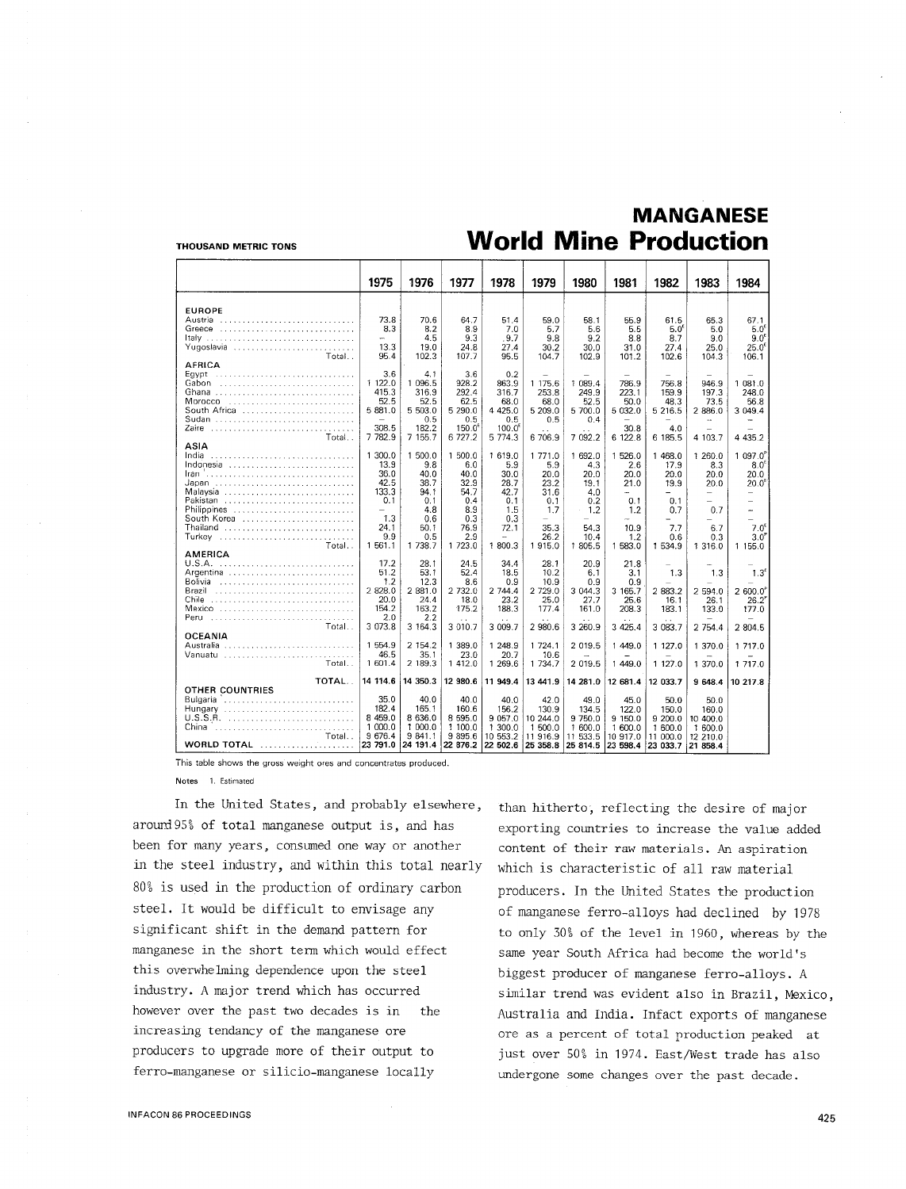#### THOUSAND METRIC TONS

# **MANGANESE World Mine Production**

|                             | 1975            | 1976           | 1977            | 1978               | 1979           | 1980            | 1981           | 1982                     | 1983                     | 1984                                         |
|-----------------------------|-----------------|----------------|-----------------|--------------------|----------------|-----------------|----------------|--------------------------|--------------------------|----------------------------------------------|
|                             |                 |                |                 |                    |                |                 |                |                          |                          |                                              |
| <b>EUROPE</b>               |                 |                |                 |                    |                |                 |                |                          |                          |                                              |
| Austria                     | 73.8            | 70.6           | 64.7            | 51.4               | 59.0           | 58.1            | 55.9           | 61.5                     | 65.3                     | 67.1                                         |
| Greece<br>Italy             | 8.3<br>and in   | 8.2<br>4.5     | 8.9<br>9.3      | 7.0<br>. 9.7       | 5.7<br>9.8     | 5.6<br>9.2      | 5.5<br>8.8     | $5.0^{\circ}$<br>8.7     | 5.0<br>9.0               | $5.0^6$<br>$9.0^{\epsilon}$                  |
| Yugoslavia                  | 13.3            | 19.0           | 24.8            | 27.4               | 30.2           | 30.0            | 31.0           | 27.4                     | 25.0                     | 25.0 <sup>6</sup>                            |
| Total. .                    | 95.4            | 102.3          | 107.7           | 95.5               | 104.7          | 102.9           | 101.2          | 102.6                    | 104.3                    | 106.1                                        |
| AFRICA                      |                 |                |                 |                    |                |                 |                |                          |                          |                                              |
| Egypt                       | 3.6             | 4.1            | 3.6             | 0.2                |                |                 |                |                          |                          |                                              |
| Gabon                       | 1 122.0         | 1 096.5        | 928.2           | 863.9              | 1 175.6        | 1 089.4         | 786.9          | 756.8                    | 946.9                    | 1 081.0                                      |
| Ghana                       | 415.3<br>52.5   | 316.9<br>52.5  | 292.4<br>62.5   | 316.7<br>68.0      | 253.8<br>68.0  | 249.9           | 223.1<br>50.0  | 159.9<br>48.3            | 197.3<br>73.5            | 248.0<br>56.8                                |
|                             | 5 881.0         | 5 503.0        | 5 290.0         | 4 4 2 5.0          | 5 209.0        | 52.5<br>5 700.0 | 5 032.0        | 5 216.5                  | 2 886.0                  | 3 049.4                                      |
| Sudan                       | $\equiv$        | 0.5            | 0.5             | 0.5                | 0.5            | 0.4             |                |                          |                          |                                              |
| Zaire                       | 308.5           | 182.2          | $150.0^{\circ}$ | 100.0 <sup>6</sup> |                |                 | 30.8           | 4.0                      |                          |                                              |
| Total                       | 7 782.9         | 7 155.7        | 6 727.2         | 5 7 7 4 . 3        | 6 706.9        | 7 092.2         | 6 122.8        | 6 185.5                  | 4 103.7                  | 4 4 3 5.2                                    |
| ASIA                        |                 |                |                 |                    |                |                 |                |                          |                          |                                              |
| India<br>Indonesia          | 1 300.0<br>13.9 | 1 500.0<br>9.8 | 1 500.0<br>6.0  | 1 619.0<br>5.9     | 1 771.0<br>5.9 | 1 692.0<br>4.3  | 1 526.0<br>2.6 | 1 468.0<br>17.9          | 1 260.0<br>8.3           | $1097.0^{\circ}$<br>8.0 <sup>6</sup>         |
|                             | 36.0            | 40.0           | 40.0            | 30.0               | 20.0           | 20.0            | 20.0           | 20.0                     | 20.0                     | 20.0                                         |
| Japan                       | 42.5            | 38.7           | 32.9            | 28.7               | 23.2           | 19.1            | 21.0           | 19.9                     | 20.0                     | $20.0^{\circ}$                               |
| Malaysia                    | 133.3           | 94.1           | 54.7            | 42.7               | 31.6           | 4.0             | $\sim$         | Ξ.                       | $\overline{\phantom{0}}$ | ÷                                            |
| Pakistan                    | 0.1             | 0.1            | 0.4             | 0.1                | 0.1            | 0.2             | 0.1            | 0.1                      | $\overline{\phantom{0}}$ |                                              |
| Philippines                 | ÷.<br>1.3       | 4.8            | 8.9             | 1.5                | 1.7            | 1.2             | 1.2            | 0.7                      | 0.7                      | L.                                           |
| South Korea<br>Thailand     | 24.1            | 0.6<br>50.1    | 0.3<br>76.9     | 0.3<br>72.1        | 35.3           | 54.3            | 10.9           | 7.7                      | 6.7                      | $\overline{\phantom{a}}$<br>$7.0^{\epsilon}$ |
| Turkey                      | 9.9             | 0.5            | 2.9             | ÷.                 | 26.2           | 10.4            | 1.2            | 0.6                      | 0.3                      | $3.0^{\circ}$                                |
| Total                       | 1 561.1         | 1 738.7        | 1 723.0         | 1 800.3            | 1915.0         | 1 805.5         | 1 583.0        | 1 534.9                  | 1 316.0                  | 1 155.0                                      |
| AMERICA                     |                 |                |                 |                    |                |                 |                |                          |                          |                                              |
|                             | 17.2            | 28.1           | 24.5            | 34.4               | 28.1           | 20.9            | 21.8           | $\overline{\phantom{0}}$ | L.                       |                                              |
| Argentina<br>Bolivia        | 51.2<br>1.2     | 53.1<br>12.3   | 52.4<br>8.6     | 18.5<br>0.9        | 10.2<br>10.9   | 6.1<br>0.9      | 3.1<br>0.9     | 1.3                      | 1,3                      | 1.3 <sup>5</sup>                             |
| Brazil                      | 2 828.0         | 2 881.0        | 2 732.0         | 2 744.4            | 2 729.0        | 3 044.3         | 3 165.7        | 2 883.2                  | 2 594.0                  | 2,600.0                                      |
| Chile                       | 20.0            | 24.4           | 18.0            | 23.2               | 25.0           | 27.7            | 25.6           | 16.1                     | 26.1                     | $26.2^{e}$                                   |
| Mexico                      | 154.2           | 163.2          | 175.2           | 188.3              | 177.4          | 161.0           | 208.3          | 183.1                    | 133.0                    | 177.0                                        |
| Peru                        | 2.0             | 2.2            |                 |                    |                |                 |                |                          |                          |                                              |
| Total                       | 3 073.8         | 3 164.3        | 3 010.7         | 3 009.7            | 2 980.6        | 3 260.9         | 3 4 2 5.4      | 3 083.7                  | 2 754.4                  | 2 804.5                                      |
| <b>OCEANIA</b>              | 1 554.9         | 2 154.2        | 1 389.0         | 1 248.9            | 1 724.1        | 2 019.5         | 1449.0         | 1 127.0                  | 1 370.0                  | 1 717.0                                      |
| Vanuatu                     | 46.5            | 35.1           | 23.0            | 20.7               | 10.6           |                 |                |                          |                          |                                              |
| Total                       | 1 601.4         | 2 189.3        | 1 412.0         | 1 269.6            | 1 7 3 4 . 7    | 2 019.5         | 1 449.0        | 1 127.0                  | 1 370.0                  | 1 717.0                                      |
|                             |                 |                |                 |                    |                |                 |                |                          |                          |                                              |
| TOTAL.                      | 14 114.6        | 14 350.3       | 12 980.6        | 11 949.4           | 13 441.9       | 14 281.0        | 12 681.4       | 12 033.7                 | 9 648.4                  | 10 217.8                                     |
| OTHER COUNTRIES<br>Bulgaria | 35.0            | 40.0           | 40.0            | 40.0               | 42.0           | 49.0            | 45.0           | 50.0                     |                          |                                              |
| Hungary                     | 182.4           | 165.1          | 160.6           | 156.2              | 130.9          | 134.5           | 122.0          | 150.0                    | 50.0<br>160.0            |                                              |
| U.S.S.R.                    | 8 4 5 9 . 0     | 8 636.0        | 8 5 9 5.0       | 9 0 57.0           | 10 244.0       | 9 750.0         | 9 150.0        | 9 200.0                  | 10 400.0                 |                                              |
| China                       | 1 000.0         | 1 000.0        | 1 100.0         | 1 300.0            | 1 500.0        | 1 600.0         | 1 600.0        | 1 600.0                  | 1 600.0                  |                                              |
| Total                       | 9 676.4         | 9 841.1        | 9 8 9 5.6       | 10 553.2           | 11 916.9       | 11 533.5        | 10 917.0       | 11 000.0                 | 12 210.0                 |                                              |
| WORLD TOTAL                 | 23 791.0        | 24 191.4       | 22 876.2        | 22 502.6           | 25 358.8       | 25 814.5        | 23 598.4       | 23 033 7                 | 21 858.4                 |                                              |

This table shows the gross weight ores and concentrates produced.

Notes 1. Estimated

In the United States, and probably elsewhere, arourd95% of total manganese output is, and has been for many years, consumed one way or another in the steel industry, and within this total nearly 80% is used in the production of ordinary carbon steel. It would be difficult to envisage any significant shift in the demand pattern for manganese in the short term which would effect this overwhelming dependence upon the steel industry. A major trend which has occurred however over the past two decades is in the increasing tendancy of the manganese ore producers to upgrade more of their output to ferro-manganese or silicio-manganese locally

than hitherto, reflecting the desire of major exporting countries to increase the value added content of their raw materials. An aspiration which is characteristic of all raw material producers. In the United States the production of manganese ferro-alloys had declined by 1978 to only 30% of the level in 1960, whereas by the same year South Africa had become the world's biggest producer of manganese ferro-alloys. A similar trend was evident also in Brazil, Mexico, Australia and India. Infact exports of manganese ore as a percent of total production peaked at just over 50% in 1974. East/West trade has also undergone some changes over the past decade.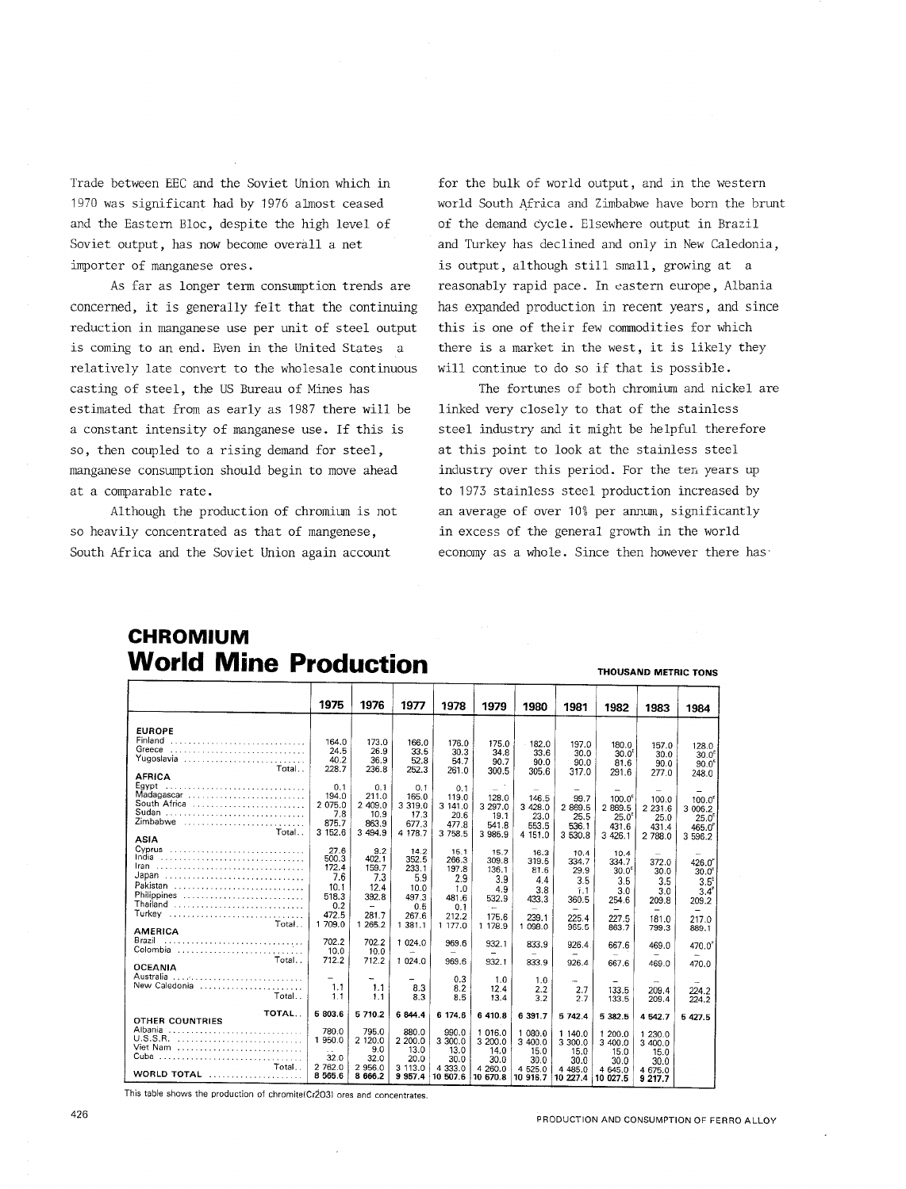Trade between EEC and the Soviet Union which in 1970 was significant had by 1976 almost ceased and the Eastern Bloc, despite the high level of Soviet output, has now become overall a net importer of manganese ores.

As far as longer term consumption trends are concerned, it is generally felt that the continuing reduction in manganese use per unit of steel output is coming to an end. Even in the United States a relatively late convert to the wholesale continuous casting of steel, the US Bureau of Mines has estimated that from as early as 1987 there will be a constant intensity of manganese use. If this is so, then coupled to a rising demand for steel, manganese consumption should begin to move ahead at a comparable rate.

Although the production of chromium is not so heavily concentrated as that of mangenese, South Africa and the Soviet Union again account

for the bulk of world output, and in the western world South Africa and Zimbabwe have born the brunt of the demand cycle. Elsewhere output in Brazil and Turkey has declined and only in New Caledonia, is output, although still small, growing at a reasonably rapid pace. In eastern europe, Albania has expanded production in recent years, and since this is one of their few commodities for which there is a market in the west, it is likely they will continue to do so if that is possible.

The fortunes of both chromium and nickel are linked very closely to that of the stainless steel industry and it might be helpful therefore at this point to look at the stainless steel industry over this period. For the ten years up to 1973 stainless steel production increased by an average of over 10% per annum, significantly in excess of the general growth in the world economy as a whole. Since then however there has·

**THOUSAND METRIC TONS** 

## **CHROMIUM World Mine Production**

|                         | 1975                   | 1976                     | 1977                 | 1978                     | 1979                     | 1980                     | 1981                     | 1982                     | 1983                     | 1984               |
|-------------------------|------------------------|--------------------------|----------------------|--------------------------|--------------------------|--------------------------|--------------------------|--------------------------|--------------------------|--------------------|
|                         |                        |                          |                      |                          |                          |                          |                          |                          |                          |                    |
| <b>EUROPE</b>           |                        |                          |                      |                          |                          |                          |                          |                          |                          |                    |
| Finland                 | 164.0                  | 173.0                    | 166.0                | 176.0                    | 175.0                    | 182.0                    | 197.0                    | 180.0                    | 157.0                    | 128.0              |
| Greece                  | 24.5                   | 26.9                     | 33.5                 | 30.3                     | 34.8                     | 33.6                     | 30.0                     | 30.0 <sup>E</sup>        | 30.0                     | 30.0 <sup>6</sup>  |
| Yugoslavia              | 40.2                   | 36.9                     | 52.8                 | 54.7                     | 90.7                     | 90.0                     | 90.0                     | 81.6                     | 90.0                     | 90.0 <sup>6</sup>  |
| Total                   | 228.7                  | 236.8                    | 252.3                | 261.0                    | 300.5                    | 305.6                    | 317.0                    | 291.6                    | 277.0                    | 248.0              |
| <b>AFRICA</b>           |                        |                          |                      |                          |                          |                          |                          |                          |                          |                    |
| Egypt<br>Madagascar     | 0.1<br>194.0           | 0.1                      | 0.1                  | 0.1                      | $\equiv$                 | -                        |                          | $\overline{\phantom{0}}$ | $=$                      |                    |
| South Africa            | 2 075.0                | 211.0<br>2 409.0         | 165.0<br>3 3 1 9 . 0 | 119.0                    | 128.0                    | 146.5                    | 99.7                     | 100.0 <sup>ε</sup>       | 100.0                    | 100.0 <sup>6</sup> |
| Sudan                   | 7.8                    | 10.9                     | 17.3                 | 3 141.0<br>20.6          | 3 297.0<br>19.1          | 3 428.0                  | 2 869.5                  | 2869.5                   | 2 2 3 1.6                | 3 006.2            |
| Zimbabwe                | 875.7                  | 863.9                    | 677.3                | 477.8                    | 541.8                    | 23.0                     | 25.5                     | $25.0^6$                 | 25.0                     | 25.0 <sup>E</sup>  |
| Total                   | 3 152.6                | 3 494.9                  | 4 178.7              | 3 758.5                  | 3 985.9                  | 553.5<br>4 151.0         | 536.1<br>3 530.8         | 431.6                    | 431.4                    | $465.0^{6}$        |
| <b>ASIA</b>             |                        |                          |                      |                          |                          |                          |                          | 3 4 26.1                 | 2 788.0                  | 3 596.2            |
| Cyprus                  | 27.6                   | 9.2                      | 14.2                 | 15.1                     | 15.7                     | 16.3                     | 10.4                     | 10.4                     |                          |                    |
| India                   | 500.3                  | 402.1                    | 352.5                | 266.3                    | 309.8                    | 319.5                    | 334.7                    | 334.7                    | 372.0                    | 426.0°             |
| <b>Iran</b>             | 172.4                  | 159.7                    | 233.1                | 197.8                    | 136.1                    | 81.6                     | 29.9                     | 30.0 <sup>5</sup>        | 30.0                     | 30.0 <sup>6</sup>  |
| Japan                   | 7.6                    | 7.3                      | 5.9                  | 2.9                      | 3.9                      | 4.4                      | 3.5                      | 3.5                      | 3.5                      | 3.5 <sup>E</sup>   |
| Pakistan                | 10.1                   | 12.4                     | 10.0                 | 1.0                      | 4.9                      | 3.8                      | 1.1                      | 3.0                      | 3.0                      | $3.4^\circ$        |
| Philippines<br>Thailand | 518.3                  | 392.8                    | 497.3                | 481.6                    | 532.9                    | 433.3                    | 360.5                    | 254.6                    | 209.8                    | 209.2              |
| Turkey                  | 0.2<br>472.5           | $\overline{\phantom{a}}$ | 0.5                  | 0.1                      | $\sim$                   | $\overline{\phantom{0}}$ | $\overline{\phantom{m}}$ | $\overline{\phantom{0}}$ | $\overline{\phantom{0}}$ | -                  |
| Total                   | 1 709.0                | 281.7<br>1 265.2         | 267.6                | 212.2                    | 175.6                    | 239.1                    | 225.4                    | 227.5                    | 181.0                    | 217.0              |
| <b>AMERICA</b>          |                        |                          | 1 381.1              | 1 177.0                  | 1 178.9                  | 1 098.0                  | 965.5                    | 863.7                    | 799.3                    | 889.1              |
| Brazil                  | 702.2                  | 702.2                    | 1 024.0              | 969.6                    | 932.1                    | 833.9                    | 926.4                    |                          |                          |                    |
| Colombia                | 10.0                   | 10.0                     | ш.                   | $\overline{\phantom{a}}$ | $\overline{\phantom{0}}$ |                          |                          | 667.6                    | 469.0                    | 470.0 <sup>°</sup> |
| Total                   | 712.2                  | 712.2                    | 1 024.0              | 969.6                    | 932.1                    | 833.9                    | 926.4                    | 667.6                    | 469.0                    | 470.0              |
| <b>OCEANIA</b>          |                        |                          |                      |                          |                          |                          |                          |                          |                          |                    |
| Australia               |                        |                          |                      | 0.3                      | 1.0                      | 1.0                      | $\overline{\phantom{a}}$ |                          |                          |                    |
| New Caledonia           | 1.1                    | 1.1                      | 8.3                  | 8.2                      | 12.4                     | 2.2                      | 2.7                      | 133.5                    | 209.4                    | 224.2              |
| Total                   | 1.1                    | 1.1                      | 8.3                  | 8.5                      | 13.4                     | 3.2                      | 2.7                      | 133.5                    | 209.4                    | 224.2              |
| TOTAL                   | 5 803.6                | 5710.2                   | 6 844.4              | 6 174.6                  | 6 410.8                  | 6 391.7                  | 5 742.4                  |                          |                          |                    |
| OTHER COUNTRIES         |                        |                          |                      |                          |                          |                          |                          | 5 382.5                  | 4 542.7                  | 5 427.5            |
| Albania                 | 780.0                  | 795.0                    | 880.0                | 990.0                    | 1 016.0                  | 1 080.0                  | 1 140.0                  | 1 200.0                  | 1 230.0                  |                    |
|                         | 1 950.0                | 2 120.0                  | 2 200.0              | 3 300.0                  | 3 200.0                  | 3 400.0                  | 3 300.0                  | 3 400.0                  | 3 400.0                  |                    |
| Viet Nam                | $\ddotsc$              | 9.0                      | 13.0                 | 13.0                     | 14.0                     | 15.0                     | 15.0                     | 15.0                     | 15.0                     |                    |
|                         | 32.0                   | 32.0                     | 20.0                 | 30.0                     | 30.0                     | 30.0                     | 30.0                     | 30.0                     | 30.0                     |                    |
| Total<br>WORLD TOTAL    | 2 762.0<br>8 5 6 5 . 6 | 2 956.0                  | 3 113.0              | 4 3 3 3 .0               | 4 260.0                  | 4 525.0                  | 4 4 8 5.0                | 4 645.0                  | 4 675.0                  |                    |
|                         |                        | 8 6 6 6.2                | 9 9 5 7.4            | 10 507.6                 | 10 670.8                 | 10 916.7                 | 10 227.4                 | 10 027.5                 | 9 217.7                  |                    |

This table shows the production of chromite(Cr2O3) ores and concentrates.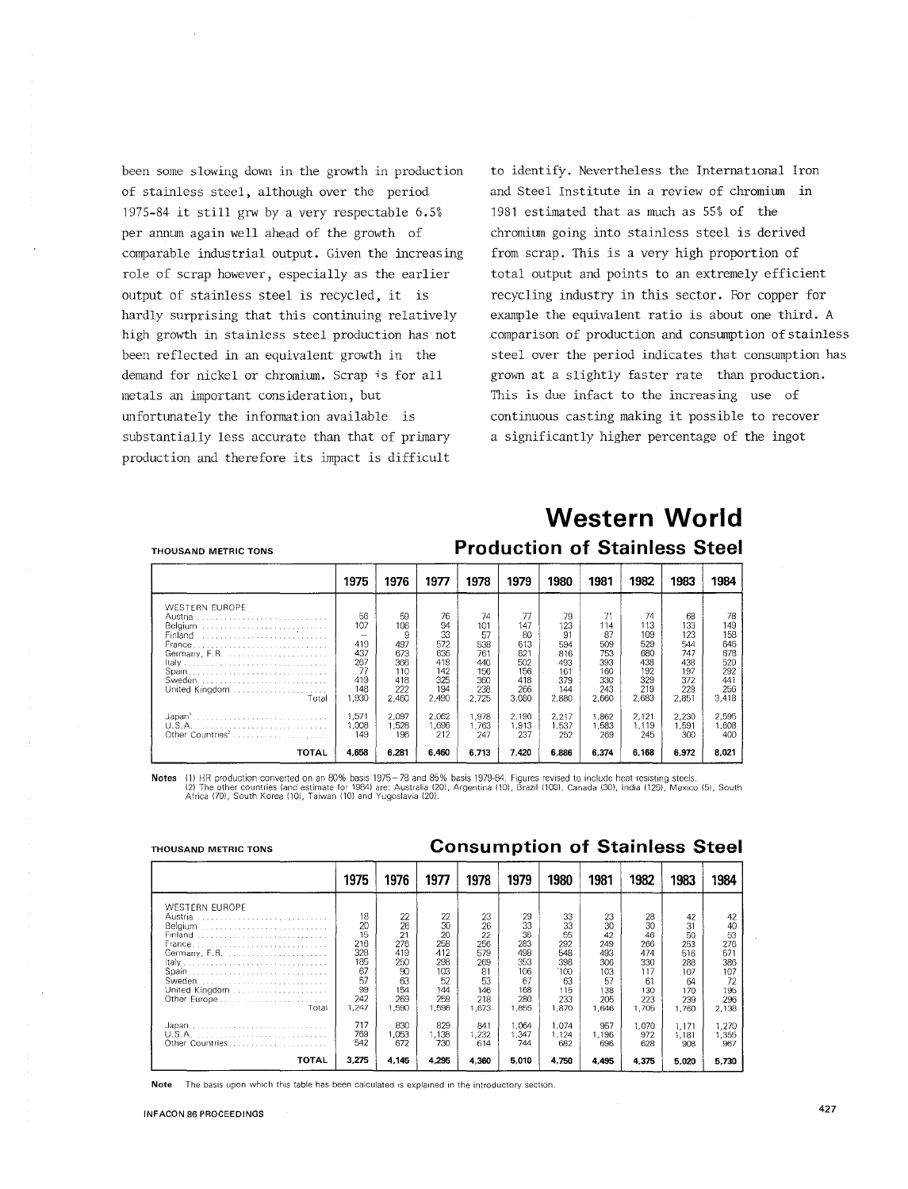been some slowing down in the growth in production of stainless steel, although over the period 1975-84 it still grw by a very respectable 6.5% per annum again well ahead of the growth of comparable industrial output. Given the increasing role of scrap however, especially as the earlier output of stainless steel is recycled, it is hardly surprising that this continuing relatively high growth in stainless steel production has not been reflected in an equivalent growth in the demand for nickel or chromium. Scrap is for all metals an important consideration, but unfortunately the information available is substantially less accurate than that of primary production and therefore its impact is difficult

to identify. Nevertheless the International Iron and Steel Institute in a review of chromium in 1981 estimated that as much as 55% of the chromium going into stainless steel is derived from scrap. This is a very high proportion of total output and points to an extremely efficient recycling industry in this sector. For copper for example the equivalent ratio is about one third. A .comparison of production and consumption of stainless steel over the period indicates that consumption has grown at a slightly faster rate than production. This is due infact to the increasing use of continuous casting making it possible to recover a significantly higher percentage of the ingot

#### THOUSAND METRIC TONS

# **Western World Production of Stainless Steel**

|                                                                                                                        | 1975                                                                                     | 1976                                                              | 1977                                                              | 1978                                                               | 1979                                                               | 1980                                                               | 1981                                                               | 1982                                                                | 1983                                                                | 1984                                                                |
|------------------------------------------------------------------------------------------------------------------------|------------------------------------------------------------------------------------------|-------------------------------------------------------------------|-------------------------------------------------------------------|--------------------------------------------------------------------|--------------------------------------------------------------------|--------------------------------------------------------------------|--------------------------------------------------------------------|---------------------------------------------------------------------|---------------------------------------------------------------------|---------------------------------------------------------------------|
| WESTERN EUROPE<br>Austria<br>Belgium<br>Finland<br><b>France</b><br>Germany, F.R.<br>Sweden<br>United Kingdom<br>Total | 56.<br>107<br>$\overline{\phantom{a}}$<br>419<br>437<br>267<br>77<br>419<br>148<br>1.930 | 59<br>106<br>9<br>497<br>673<br>366<br>110<br>418<br>222<br>2,460 | 76<br>94<br>33<br>572<br>636<br>418<br>142<br>325<br>194<br>2,490 | 74<br>101<br>57<br>538<br>761<br>440<br>156<br>360<br>238<br>2.725 | 77<br>147<br>80<br>613<br>821<br>502<br>156<br>418<br>266<br>3,080 | 79<br>123<br>91<br>594<br>816<br>493<br>161<br>379<br>144<br>2,880 | 71<br>114<br>87<br>509<br>753<br>393<br>160<br>330<br>243<br>2.660 | 74<br>113<br>109<br>529<br>680<br>438<br>192<br>329<br>219<br>2.683 | 68<br>133<br>123<br>544<br>747<br>438<br>197<br>372<br>229<br>2,851 | 78<br>149<br>158<br>646<br>878<br>520<br>292<br>441<br>256<br>3.418 |
| Japan'<br>Other Countries <sup>2</sup><br><b>TOTAL</b>                                                                 | 1.571<br>1.008<br>149<br>4,658                                                           | 2,097<br>1,528<br>196<br>6.281                                    | 2.062<br>1,696<br>212<br>6.460                                    | 1.978<br>1.763<br>247<br>6.713                                     | 2.190<br>1,913<br>237<br>7.420                                     | 2,217<br>1,537<br>252<br>6.886                                     | .862<br>1.583<br>269<br>6.374                                      | 2,121<br>1,119<br>245<br>6.168                                      | 2,230<br>1.591<br>300<br>6.972                                      | 2,595<br>1,608<br>400<br>8.021                                      |

Notes (1) HR production converted on an 80% basis 1975 – 78 and 85% basis 1979-84. Figures revised to include heat-resisting steels.<br>(2) The other countries (and estimate for 1984) are: Australia (20), Argentina (10), Braz

#### THOUSAND METRIC TONS **Consumption of Stainless Steel**

|                                                                                                                               | 1975                                                                  | 1976                                                                  | 1977                                                                    | 1978                                                                   | 1979                                                                    | 1980                                                                     | 1981                                                                    | 1982                                                                    | 1983                                                                    | 1984                                                                    |
|-------------------------------------------------------------------------------------------------------------------------------|-----------------------------------------------------------------------|-----------------------------------------------------------------------|-------------------------------------------------------------------------|------------------------------------------------------------------------|-------------------------------------------------------------------------|--------------------------------------------------------------------------|-------------------------------------------------------------------------|-------------------------------------------------------------------------|-------------------------------------------------------------------------|-------------------------------------------------------------------------|
| <b>WESTERN EUROPE</b><br>Austria<br>Belgium<br>Finland<br><b>France</b><br>Germany, F.R.<br>Sweden<br>United Kingdom<br>Total | 18<br>20<br>15<br>216<br>328<br>185<br>67<br>57<br>99<br>242<br>1,247 | 22<br>26<br>21<br>276<br>419<br>250<br>90<br>63<br>154<br>269<br>.590 | 22<br>30<br>20<br>258<br>412<br>298<br>103<br>52<br>144<br>259<br>1.598 | 23<br>26<br>22<br>256<br>579<br>269<br>81<br>53<br>146<br>218<br>1,673 | 29<br>33<br>38<br>283<br>498<br>353<br>106<br>67<br>168<br>280<br>1.855 | 33<br>33<br>55<br>292<br>548<br>398<br>`100<br>63<br>115<br>233<br>1,870 | 23<br>30<br>42<br>249<br>493<br>306<br>103<br>57<br>138<br>205<br>1,646 | 28<br>30<br>46<br>266<br>474<br>330<br>117<br>61<br>130<br>223<br>1,705 | 42<br>31<br>50<br>253<br>516<br>288<br>107<br>64<br>170<br>239<br>1.760 | 42<br>40<br>53<br>276<br>671<br>386<br>107<br>72<br>195<br>296<br>2,138 |
| Other Countries                                                                                                               | 717<br>769<br>542                                                     | 830<br>1,053<br>672                                                   | 829<br>1,138<br>730                                                     | 841<br>1,232<br>614                                                    | 1.064<br>1.347<br>744                                                   | 1.074<br>1.124<br>682                                                    | 957<br>1,196<br>696                                                     | 1,070<br>972<br>628                                                     | 1.171<br>1,181<br>908                                                   | 1.270<br>1,355<br>967                                                   |
| TOTAL                                                                                                                         | 3.275                                                                 | 4.145                                                                 | 4,295                                                                   | 4.360                                                                  | 5,010                                                                   | 4.750                                                                    | 4.495                                                                   | 4,375                                                                   | 5.020                                                                   | 5.730                                                                   |

**Note** The basis upon which this table has been calculated is explained in the introductory section.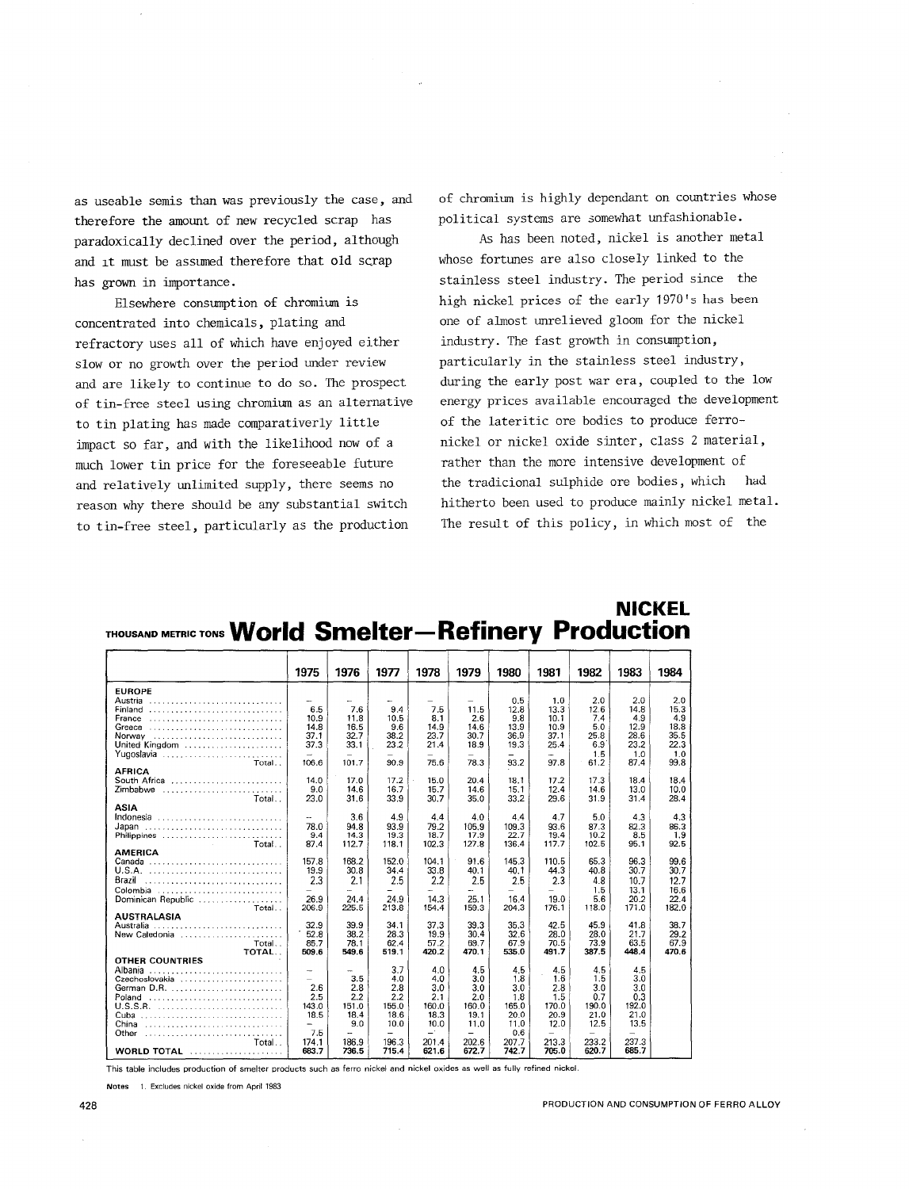as useable semis than was previously the case, and therefore the amount of new recycled scrap has paradoxically declined over the period, although and it must be assumed therefore that old scrap has grown in importance.

Elsewhere consumption of chromium is concentrated into chemicals, plating and refractory uses all of which have enjoyed either slow or no growth over the period under review and are likely to continue to do so. The prospect of tin-free steel using chromium as an alternative to tin plating has made comparativerly little impact so far, and with the likelihood now of a much lower tin price for the foreseeable future and relatively unlimited supply, there seems no reason why there should be any substantial switch to tin-free steel, particularly as the production

of chromium is highly dependant on countries whose political systems are somewhat unfashionable.

As has been noted, nickel is another metal whose fortunes are also closely linked to the stainless steel industry. The period since the high nickel prices of the early 1970's has been one of almost unrelieved gloom for the nickel industry. The fast growth in consumption, particularly in the stainless steel industry, during the early post war era, coupled to the low energy prices available encouraged the development of the lateritic ore bodies to produce ferronickel or nickel oxide sinter, class 2 material, rather than the more intensive development of the tradicional sulphide ore bodies, which had hitherto been used to produce mainly nickel metal. The result of this policy, in which most of the

|                                                                         | 1975         | 1976  | 1977  | 1978                     | 1979  | 1980         | 1981     | 1982  | 1983  | 1984        |
|-------------------------------------------------------------------------|--------------|-------|-------|--------------------------|-------|--------------|----------|-------|-------|-------------|
| <b>EUROPE</b>                                                           |              |       |       |                          |       |              |          |       |       |             |
| Austria                                                                 |              |       |       |                          |       | 0.5          | 1.0      | 2.0   | 2.0   | 2.0         |
| Finland                                                                 | 6.5          | 7.6   | 9.4   | 7.5                      | 11.5  | 12.8         | 13.3     | 12.6  | 14.8  | 15.3        |
| $France \ldots \ldots \ldots \ldots \ldots \ldots \ldots \ldots \ldots$ | 10.9         | 11.8  | 10.5  | 8.1                      | 2.6   | 9.8          | 10.1     | 7.4   | 4.9   | 4.9         |
|                                                                         | 14.8         | 16.5  | 9.6   | 14.9                     | 14.6  | 13.9         | 10.9     | 5.0   | 12.9  | 18.8        |
| Norway                                                                  | 37.1         | 32.7  | 38.2  | 23.7                     | 30.7  | 36.9         | 37.1     | 25.8  | 28.6  | 35.5        |
| United Kingdom                                                          | 37.3         | 33.1  | 23.2  | 21.4                     | 18.9  | 19.3         | 25.4     | 6.9   | 23.2  | 22.3        |
| Yugoslavia                                                              |              |       |       |                          | 78.3  |              | ú.       | 1.5   | 1.0   | 1.0<br>99.8 |
| Total<br><b>AFRICA</b>                                                  | 106.6        | 101.7 | 90.9  | 75.6                     |       | 93.2         | 97.8     | 61.2  | 87.4  |             |
| South Africa                                                            | 14.0         | 17.0  | 17.2  | 15.0                     | 20.4  | 18.1         | 17.2     | 17.3  | 18.4  | 18.4        |
| Zimbabwe                                                                | 9.0          | 14.6  | 16.7  | 15.7                     | 14.6  | 15.1         | 12.4     | 14.6  | 13.0  | 10.0        |
| Total                                                                   | 23.0         | 31.6  | 33.9  | 30.7                     | 35.0  | 33.2         | 29.6     | 31.9  | 31.4  | 28.4        |
| <b>ASIA</b>                                                             |              |       |       |                          |       |              |          |       |       |             |
| Indonesia                                                               |              | 3.6   | 4.9   | 4.4                      | 4.0   | 4.4          | 4.7      | 5.0   | 4.3   | 4.3         |
| Japan                                                                   | 78.0         | 94.8  | 93.9  | 79.2                     | 105.9 | 109.3        | 93.6     | 87.3  | 82.3  | 86.3        |
| Philippines                                                             | 9.4          | 14.3  | 19.3  | 18.7                     | 17.9  | 22.7         | 19.4     | 10.2  | 8.5   | 1.9         |
| <b>College College</b><br>Total                                         | 87.4         | 112.7 | 118.1 | 102.3                    | 127.8 | 136.4        | 117.7    | 102.5 | 95.1  | 92.5        |
| <b>AMERICA</b>                                                          |              |       |       |                          |       |              |          |       |       |             |
| Canada                                                                  | 157.8        | 168.2 | 152.0 | 104.1                    | 91.6  | 145.3        | 110.5    | 65.3  | 96.3  | 99.6        |
|                                                                         | 19.9         | 30.8  | 34.4  | 33.8                     | 40.1  | 40.1         | 44.3     | 40.8  | 30.7  | 30.7        |
| Brazil                                                                  | 2.3          | 2.1   | 2.5   | 2.2                      | 2.5   | 2.5          | 2.3      | 4.8   | 10.7  | 12.7        |
| Colombia                                                                | $\equiv$     | u.    | ÷     | $\overline{\phantom{0}}$ | ÷.    | -            | $\equiv$ | 1.5   | 13.1  | 16.6        |
| Dominican Republic                                                      | 26.9         | 24.4  | 24.9  | 14.3                     | 25.1  | 164          | 19.0     | 5.6   | 20.2  | 22.4        |
| Total                                                                   | 206.9        | 225.5 | 213.8 | 154.4                    | 159.3 | 204.3        | 176.1    | 118.0 | 171.0 | 182.0       |
| <b>AUSTRALASIA</b><br>Australia                                         | 32.9         | 39.9  | 34.1  | 37.3                     | 39.3  | 35.3         | 42.5     | 45.9  | 41.8  | 38.7        |
| New Caledonia                                                           | 52.8         | 38.2  | 283   | 19.9                     | 30.4  | 32.6         | 28.0     | 28.0  | 21.7  | 29.2        |
| Total                                                                   | 85.7         | 78.1  | 62.4  | 57.2                     | 69.7  | 67.9         | 70.5     | 73.9  | 63.5  | 67.9        |
| TOTAL                                                                   | 509.6        | 549.6 | 519.1 | 420.2                    | 470.1 | 535.0        | 491.7    | 387.5 | 448.4 | 470.6       |
| <b>OTHER COUNTRIES</b>                                                  |              |       |       |                          |       |              |          |       |       |             |
| Albania                                                                 | -            | ш.    | 3.7   | 4.0                      | 4.5   | 4.5          | 4.5      | 4.5   | 4.5   |             |
| Czechoslovakia                                                          |              | 3.5   | 4.0   | 4.0                      | 3.0   | 1.8          | 16       | 1.5   | 3.0   |             |
|                                                                         | 2.6          | 2.8   | 2.8   | 3.0                      | 3.0   | 3.0          | 2.8      | 3.0   | 3.0   |             |
| Poland                                                                  | 2.5          | 2.2   | 2.2   | 2.1                      | 2.0   | 1.8          | 1.5      | 0.7   | 0.3   |             |
| U.S.S.R.                                                                | 143.0        | 151.0 | 155.0 | 160.0                    | 160.0 | 165.0        | 170.0    | 190.0 | 192.0 |             |
| Cuba                                                                    | 18.5         | 18.4  | 18.6  | 18.3                     | 19.1  | 20.0         | 20.9     | 21.0  | 21.0  |             |
| China                                                                   | -            | 9.0   | 10.0  | 10.0<br>—`               | 11.0  | 11.0         | 12.0     | 12.5  | 13.5  |             |
| Other                                                                   | 7.5<br>174.1 | 186.9 | 196.3 | 201.4                    | 202.6 | 0.6<br>207.7 | 213.3    | 233.2 | 237.3 |             |
| Total<br><b>WORLD TOTAL</b>                                             | 683.7        | 736.5 | 715.4 | 621.6                    | 672.7 | 742.7        | 705.0    | 620.7 | 685.7 |             |

### **NICKEL**  THOUSANDMETRICTONS **World Smelter-Refinery Production**

This table includes production of smelter products such as ferro nickel and nickel oxides as well as fully refined nickel.

Notes 1. Excludes nickel oxide from April 1983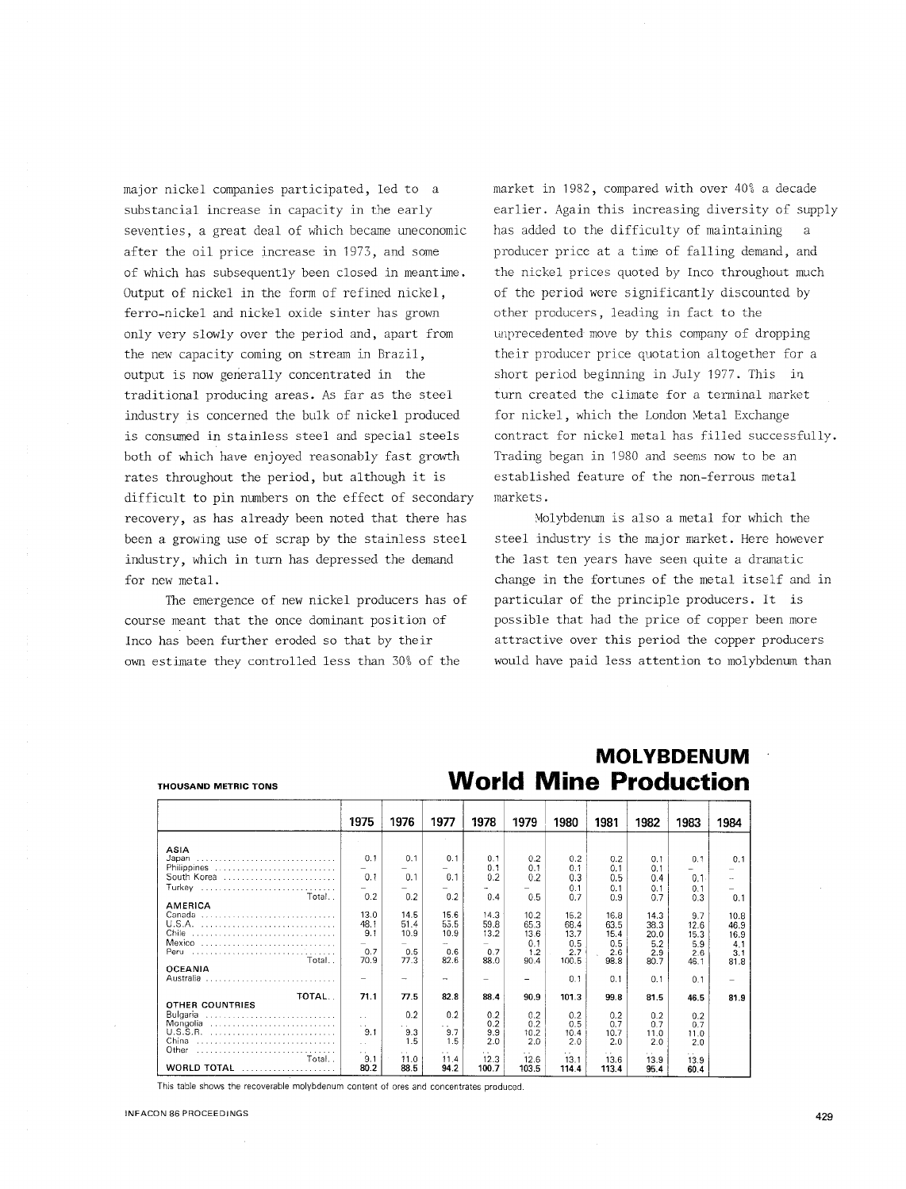major nickel companies participated, led to a substancial increase in capacity in the early seventies, a great deal of which became uneconomic after the oil price increase in 1973, and some of which has subsequently been closed in meantime. Output of nickel in the form of refined nickel, ferro-nickel and nickel oxide sinter has grown only very slowly over the period and, apart from the new capacity coming on stream in Brazil, output is now generally concentrated in the traditional producing areas. As far as the steel industry is concerned the bulk of nickel produced is consumed in stainless steel and special steels both of which have enjoyed reasonably fast growth rates throughout the period, but although it is difficult to pin numbers on the effect of secondary recovery, as has already been noted that there has been a growing use of scrap by the stainless steel industry, which in turn has depressed the demand for new metal.

The emergence of new nickel producers has of course meant that the once dominant position of Inco has been further eroded so that by their own estimate they controlled less than 30% of the

market in 1982, compared with over 40% a decade earlier. Again this increasing diversity of supply has added to the difficulty of maintaining producer price at a time of falling demand, and the nickel prices quoted by Inco throughout much of the period were significantly discounted by other producers, leading in fact to the unprecedented move by this company of dropping their producer price quotation altogether for a short period beginning in July  $1977$ . This in turn created the climate for a tenninal market for nickel, which the London Metal Exchange contract for nickel metal has filled successfully. Trading began in 1980 and seems now to be an established feature of the non-ferrous metal markets.

Molybdenum is also a metal for which the steel industry is the major market. Here however the last ten years have seen quite a dramatic change in the fortunes of the metal itself and in particular of the principle producers. It is possible that had the price of copper been more attractive over this period the copper producers would have paid less attention to molybdenum than

|                                                           | 1975                                                         | 1976                                | 1977                                     | 1978                                  | 1979                                       | 1980                                        | 1981                                       | 1982                                       | 1983                                      | 1984                                       |
|-----------------------------------------------------------|--------------------------------------------------------------|-------------------------------------|------------------------------------------|---------------------------------------|--------------------------------------------|---------------------------------------------|--------------------------------------------|--------------------------------------------|-------------------------------------------|--------------------------------------------|
| ASIA                                                      |                                                              |                                     |                                          |                                       |                                            |                                             |                                            |                                            |                                           |                                            |
| Japan<br>Philippines                                      | 0.1                                                          | 0.1                                 | 0.1                                      | 0.1<br>0 <sub>1</sub>                 | 0.2<br>0.1                                 | 0.2<br>0.1                                  | 0.2<br>0.1                                 | 0.1<br>0.1                                 | 0.1                                       | 0.1                                        |
| South Korea                                               | 0.1                                                          | 0.1                                 | 0.1                                      | 0.2                                   | 0.2                                        | 0.3                                         | 0.5                                        | 0.4                                        | 0.1                                       |                                            |
| Turkey                                                    |                                                              |                                     |                                          |                                       |                                            | 0.1                                         | 0.1                                        | 0.1                                        | 0.1                                       |                                            |
| Total.<br>AMERICA                                         | 0.2                                                          | 0.2                                 | 0.2                                      | 0.4                                   | 0.5                                        | 0.7                                         | 0.9                                        | 07                                         | 0.3                                       | 0.1                                        |
| Canada<br>Chile<br>Mexico<br>Peru<br>Total                | 13.0<br>48.1<br>9.1<br>0.7<br>70.9                           | 14.5<br>51.4<br>10.9<br>0.5<br>77.3 | 15.6<br>55.5<br>10.9<br>-<br>0.6<br>82.6 | 14.3<br>59.8<br>13.2<br>0.7<br>88.0   | 10.2<br>65.3<br>13.6<br>0.1<br>1.2<br>90.4 | 15.2<br>68.4<br>13.7<br>0.5<br>2.7<br>100.5 | 16.8<br>63.5<br>15.4<br>0.5<br>2.6<br>98.8 | 14.3<br>38.3<br>20.0<br>5.2<br>2.9<br>80.7 | 9.7<br>12.6<br>15.3<br>5.9<br>2.6<br>46.1 | 10.8<br>46.9<br>16.9<br>4.1<br>3.1<br>81.8 |
| <b>OCEANIA</b><br>Australia                               | -                                                            | -                                   | -                                        |                                       |                                            | 0.1                                         | 0.1                                        | 0.1                                        | 0.1                                       |                                            |
| TOTAL                                                     | 71.1                                                         | 77.5                                | 82.8                                     | 88.4                                  | 909                                        | 101.3                                       | 99.8                                       | 81.5                                       | 46.5                                      | 81.9                                       |
| OTHER COUNTRIES<br>Bulgaria<br>Mongolia<br>China<br>Other | $\mathbf{r}$<br>$\ddot{\phantom{0}}$<br>9.1<br>$\sim$<br>. . | 0.2<br>. .<br>9.3<br>1.5<br>$\sim$  | 0.2<br>. .<br>9.7<br>1.5<br>. .          | 0.2<br>0.2<br>9.9<br>2.0<br>$\cdot$ . | 0.2<br>0.2<br>10.2<br>2.0                  | 0.2<br>0.5<br>10.4<br>2.0<br>. .            | 0.2<br>0.7<br>10.7<br>2.0                  | 0.2<br>0.7<br>11.0<br>2.0                  | 0.2<br>0.7<br>11.0<br>2.0<br>$\sim$       |                                            |
| Total<br><b>WORLD TOTAL</b>                               | 9.1<br>80.2                                                  | 11.0<br>88.5                        | 11.4<br>94.2                             | 12.3<br>100.7                         | 12.6<br>103.5                              | 13.1<br>114.4                               | 13.6<br>113.4                              | 13.9<br>95.4                               | 13.9<br>60.4                              |                                            |

**MOLYBDENUM**  THOUSAND METRIC TONS **World Mine Production** 

This table shows the recoverable molybdenum content of ores and concentrates produced.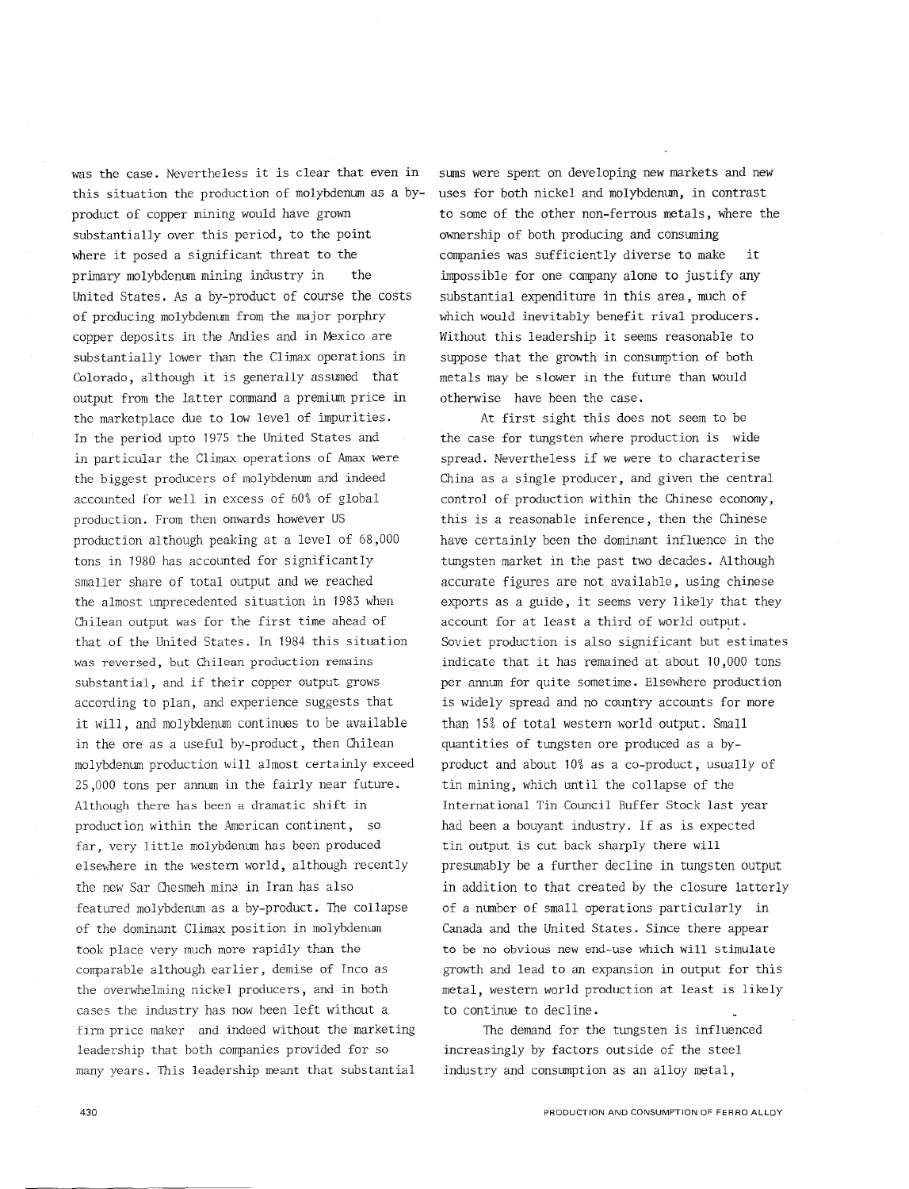was the case. Nevertheless it is clear that even in this situation the production of molybdenum as a byproduct of copper mining would have grown substantially over this period, to the point where it posed a significant threat to the primary molybdenum mining industry in the United States. As a by-product of course the costs of producing molybdenum from the major porphry copper deposits in the Andies and in Mexico are substantially lower than the Climax operations in Colorado, although it is generally assumed that output from the latter command a premium price in the marketplace due to low level of impurities. In the period upto 1975 the United States and in particular the Climax operations of Amax were the biggest producers of molybdenum and indeed accounted for well in excess of 60% of global production. From then onwards however US production although peaking at a level of 68,000 tons in 1980 has accounted for significantly smaller share of total output and we reached the almost unprecedented situation in 1983 when Chilean output was for the first time ahead of that of the United States. In 1984 this situation was reversed, but Chilean production remains substantial, and if their copper output grows according to plan, and experience suggests that it will, and molybdenum continues to be available in the ore as a useful by-product, then Chilean molybdenum production will almost certainly exceed 25,000 tons per annum in the fairly near future. Although there has been a dramatic shift in production within the American continent, so far, very little molybdenum has been produced elsewhere in the western world, although recently the new Sar Chesmeh min2 in Iran has also featured molybdenum as a by-product. The collapse of the dominant Climax position in molybdenum took place very much more rapidly than the comparable although earlier, demise of Inco as the overwhelming nickel producers, and in both cases the industry has now been left without a firm price maker and indeed without the marketing leadership that both companies provided for so many years. This leadership meant that substantial

uses for both nickel and molybdenum, in contrast to some of the other non-ferrous metals, where the ownership of both producing and consuming companies was sufficiently diverse to make it impossible for one company alone to justify any substantial expenditure in this area, much of which would inevitably benefit rival producers. Without this leadership it seems reasonable to suppose that the growth in consumption of both metals may be slower in the future than would otherwise have been the case. At first sight this does not seem to be the case for tungsten where production is wide

sums were spent on developing new markets and new

spread. Nevertheless if we were to characterise China as a single producer, and given the central control of production within the Chinese economy, this is a reasonable inference, then the Chinese have certainly been the dominant influence in the tungsten market in the past two decades. Although accurate figures are not available, using chinese exports as a guide, it seems very likely that they account for at least a third of world output. Soviet production is also significant but estimates indicate that it has remained at about 10,000 tons per annum for quite sometime. Elsewhere production is widely spread and no country accounts for more than 15% of total western world output. Small quantities of tungsten ore produced as a byproduct and about 10% as a co-product, usually of tin mining, which until the collapse of the International Tin Council Buffer Stock last year had been a bouyant industry. If as is expected tin output is cut back sharply there will presumably be a further decline in tungsten output in addition to that created by the closure latterly of a number of small operations particularly in Canada and the United States. Since there appear to be no obvious new end-use which will stimulate growth and lead to an expansion in output for this metal, western world production at least is likely to continue to decline.

The demand for the tungsten is influenced increasingly by factors outside of the steel industry and consumption as an alloy metal,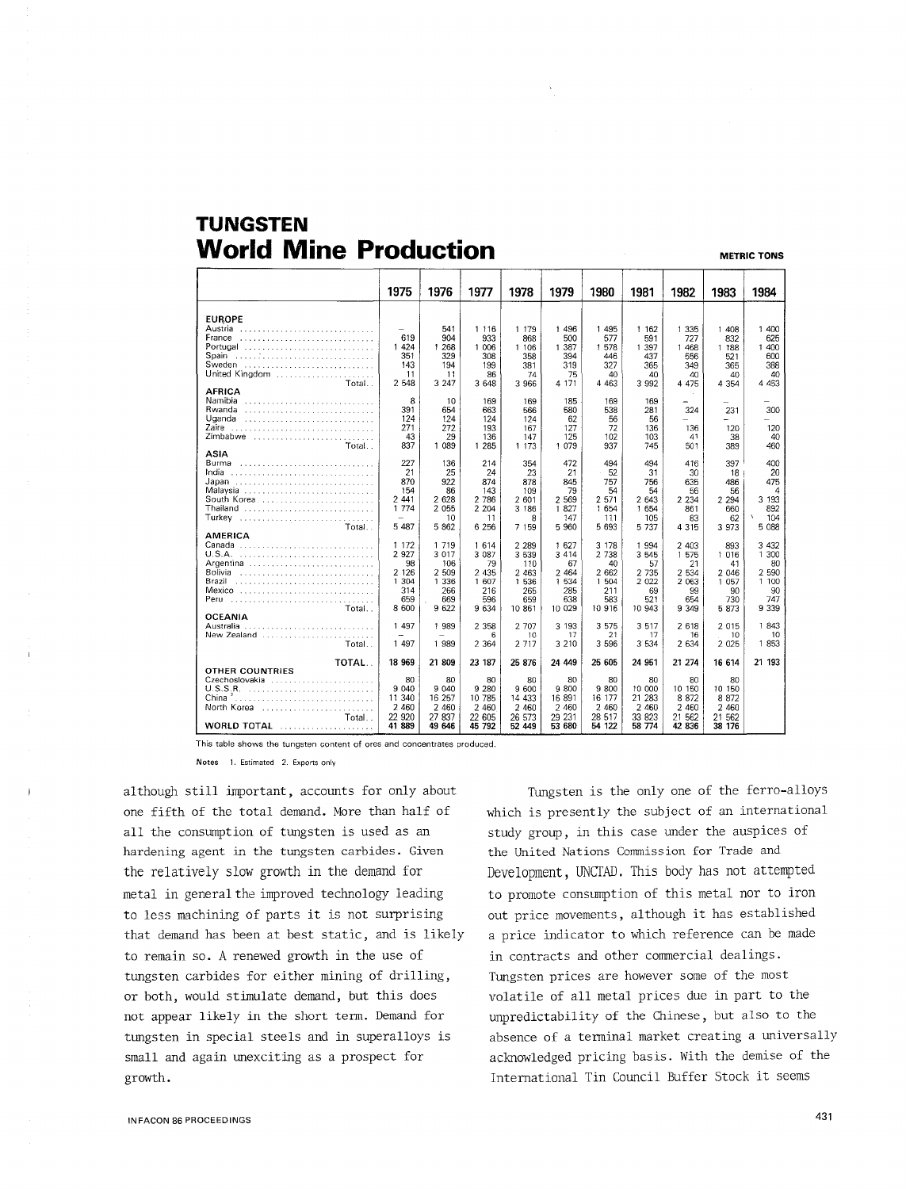## **TUNGSTEN World Mine Production METRIC TONS**

|                                                                                                | 1975                                                                | 1976                                                                 | 1977                                                                | 1978                                                                  | 1979                                                               | 1980                                                                 | 1981                                                                | 1982                                                              | 1983                                                             | 1984                                                                              |
|------------------------------------------------------------------------------------------------|---------------------------------------------------------------------|----------------------------------------------------------------------|---------------------------------------------------------------------|-----------------------------------------------------------------------|--------------------------------------------------------------------|----------------------------------------------------------------------|---------------------------------------------------------------------|-------------------------------------------------------------------|------------------------------------------------------------------|-----------------------------------------------------------------------------------|
| <b>EUROPE</b><br>Austria<br>France<br>Portugal<br>Spain<br>Sweden<br>United Kingdom<br>Total   | 619<br>1 4 2 4<br>351<br>143<br>11<br>2 5 4 8                       | 541<br>904<br>1 268<br>329<br>194<br>11<br>3 2 4 7                   | 1 1 1 6<br>933<br>1 006<br>308<br>199<br>86<br>3 648                | 1 179<br>868<br>1 106<br>358<br>381<br>74<br>3 9 6 6                  | 1 4 9 6<br>500<br>1 3 8 7<br>394<br>319<br>75<br>4 171             | 1 4 9 5<br>577<br>1 578<br>446<br>327<br>40<br>4 4 6 3               | 1 1 6 2<br>591<br>1 3 9 7<br>437<br>365<br>40<br>3 9 9 2            | 1 3 3 5<br>727<br>1 4 6 8<br>556<br>349<br>40<br>4 475            | 1 408<br>832<br>1 1 8 8<br>521<br>365<br>40<br>4 3 5 4           | 1 400<br>625<br>1 400<br>600<br>388<br>40<br>4 4 5 3                              |
| <b>AFRICA</b><br>Namibia<br>Rwanda<br>Uganda<br>Zaire<br>Zimbabwe<br>Total                     | 8<br>391<br>124<br>271<br>43<br>837                                 | 10<br>654<br>124<br>272<br>29<br>1 0 8 9                             | 169<br>663<br>124<br>193<br>136<br>1 285                            | 169<br>566<br>124<br>167<br>147<br>1 173                              | 185<br>580<br>62<br>127<br>125<br>1 079                            | 169<br>538<br>56<br>72<br>102<br>937                                 | 169<br>281<br>56<br>136<br>103<br>745                               | ×.<br>-<br>324<br>136<br>41<br>501                                | 231<br>÷<br>120<br>38<br>389                                     | 300<br>120<br>40<br>460                                                           |
| ASIA<br>Burma<br>India<br>Japan<br>Malaysia<br>South Korea<br>Thailand<br>Turkev<br>Total      | 227<br>21<br>870<br>154<br>2 4 4 1<br>1 7 7 4<br>5 487              | 136<br>25<br>922<br>86<br>2 628<br>2 0 5 5<br>10<br>5 8 6 2          | 214<br>24<br>874<br>143<br>2 786<br>2 2 0 4<br>11<br>6 25 6         | 354<br>23<br>878<br>109<br>2 601<br>3 186<br>8<br>7 159               | 472<br>21<br>845<br>79<br>2 569<br>1827<br>147<br>5 9 6 0          | 494<br>52<br>757<br>54<br>2 571<br>1 654<br>111<br>5 6 9 3           | 494<br>31<br>756<br>54<br>2 643<br>1 654<br>105<br>5 7 3 7          | 416<br>30<br>635<br>56<br>2 2 3 4<br>861<br>83<br>4 3 1 5         | 397<br>18<br>486<br>56<br>2 2 9 4<br>660<br>62<br>3 973          | 400<br>20<br>475<br>4<br>3 193<br>892<br>$\boldsymbol{\lambda}$<br>104<br>5 0 8 8 |
| <b>AMERICA</b><br>Canada<br>Argentina<br>Bolivia<br>Brazil<br>Mexico<br>Peru<br>Total          | 1 1 7 2<br>2 9 2 7<br>98<br>2 1 2 6<br>1 304<br>314<br>659<br>8 600 | 1 7 1 9<br>3 0 1 7<br>106<br>2 509<br>1 3 3 6<br>266<br>669<br>9 622 | 1 6 1 4<br>3 087<br>79<br>2 4 3 5<br>1 607<br>216<br>596<br>9 6 3 4 | 2 2 8 9<br>3 5 3 9<br>110<br>2 4 6 3<br>1 536<br>265<br>659<br>10 861 | 1 627<br>3 4 1 4<br>67<br>2 4 6 4<br>1 534<br>285<br>638<br>10 029 | 3 1 7 8<br>2 7 3 8<br>40<br>2 6 6 2<br>1 504<br>211<br>583<br>10 916 | 1 994<br>3 5 4 5<br>57<br>2 7 3 5<br>2 0 2 2<br>69<br>521<br>10 943 | 2 403<br>1 575<br>21<br>2 5 3 4<br>2 0 63<br>99<br>654<br>9 3 4 9 | 893<br>1 0 1 6<br>41<br>2 046<br>1 0 5 7<br>90.<br>730<br>5 873  | 3 4 3 2<br>1 300<br>80<br>2 5 9 0<br>1 100<br>90<br>747<br>9 3 3 9                |
| <b>OCEANIA</b><br>Australia<br>New Zealand<br>Total                                            | 1 4 9 7<br>1 497                                                    | 1 989<br>1 989                                                       | 2 3 5 8<br>6<br>2 3 6 4                                             | 2 707<br>10<br>2 7 1 7                                                | 3 193<br>17<br>3 2 1 0                                             | 3 575<br>21<br>3 5 9 6                                               | 3 5 1 7<br>17<br>3 5 3 4                                            | 2 6 18<br>16<br>2 6 3 4                                           | 2 0 1 5<br>10<br>2 0 2 5                                         | 1843<br>10<br>1853                                                                |
| TOTAL<br>OTHER COUNTRIES<br>Czechoslovakia<br>China $2$<br>North Korea<br>Total<br>WORLD TOTAL | 18 9 69<br>80<br>9 0 4 0<br>11 340<br>2 460<br>22 920<br>41 889     | 21809<br>80<br>9 040<br>16 257<br>2 4 6 0<br>27 837<br>49 646        | 23 187<br>80<br>9 2 8 0<br>10 785<br>2 4 6 0<br>22 605<br>45 792    | 25 876<br>80<br>9 600<br>14 433<br>2 4 6 0<br>26 573<br>52 449        | 24 449<br>80<br>9800<br>16 891<br>2 4 6 0<br>29 231<br>53 680      | 25 605<br>80<br>9 800<br>16 177<br>2 4 6 0<br>28 517<br>54 122       | 24 951<br>80<br>10 000<br>21 283<br>2 4 6 0<br>33 823<br>58 774     | 21 274<br>80<br>10 150<br>8 8 7 2<br>2 4 6 0<br>21 562<br>42 836  | 16 614<br>80<br>10 150<br>8 8 7 2<br>2 4 6 0<br>21 562<br>38 176 | 21 193                                                                            |

**This table shows the tungsten content of ores and concentrates produced.** 

**Notes 1. Estimated 2. Exports only** 

although still important, accounts for only about one fifth of the total demand. More than half of all the consumption of tungsten is used as an hardening agent in the tungsten carbides. Given the relatively slow growth in the demand for metal in general the improved technology leading to less machining of parts it is not surprising that demand has been at best static, and is likely to remain so. A renewed growth in the use of tungsten carbides for either mining of drilling, or both, would stimulate demand, but this does not appear likely in the short term. Demand for tungsten in special steels and in superalloys is small and again unexciting as a prospect for growth.

Tungsten is the only one of the ferro-alloys which is presently the subject of an international study group, in this case under the auspices of the United Nations Commission for Trade and Development, UNCTAD. This body has not attempted to promote consumption of this metal nor to iron out price movements, although it has established a price indicator to which reference can be made in contracts and other commercial dealings. Tungsten prices are however some of the most volatile of all metal prices due in part to the unpredictability of the Chinese, but also to the absence of a terminal market creating a universally acknowledged pricing basis. With the demise of the International Tin Council Buffer Stock it seems